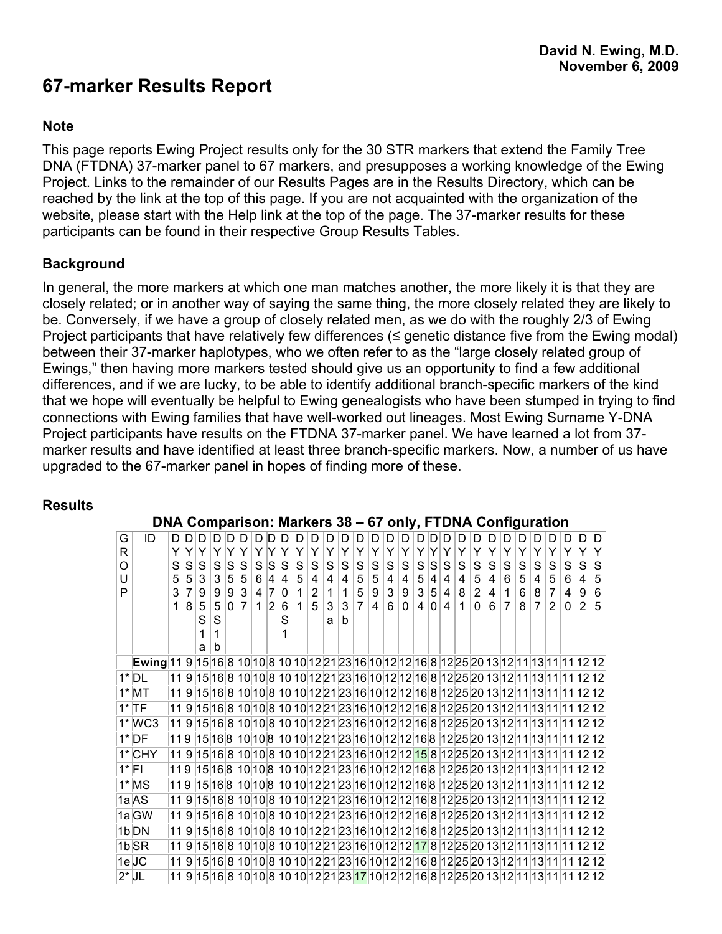# **67-marker Results Report**

### **Note**

This page reports Ewing Project results only for the 30 STR markers that extend the Family Tree DNA (FTDNA) 37-marker panel to 67 markers, and presupposes a working knowledge of the Ewing Project. Links to the remainder of our Results Pages are in the Results Directory, which can be reached by the link at the top of this page. If you are not acquainted with the organization of the website, please start with the Help link at the top of the page. The 37-marker results for these participants can be found in their respective Group Results Tables.

### **Background**

In general, the more markers at which one man matches another, the more likely it is that they are closely related; or in another way of saying the same thing, the more closely related they are likely to be. Conversely, if we have a group of closely related men, as we do with the roughly 2/3 of Ewing Project participants that have relatively few differences ( $\leq$  genetic distance five from the Ewing modal) between their 37-marker haplotypes, who we often refer to as the "large closely related group of Ewings," then having more markers tested should give us an opportunity to find a few additional differences, and if we are lucky, to be able to identify additional branch-specific markers of the kind that we hope will eventually be helpful to Ewing genealogists who have been stumped in trying to find connections with Ewing families that have well-worked out lineages. Most Ewing Surname Y-DNA Project participants have results on the FTDNA 37-marker panel. We have learned a lot from 37 marker results and have identified at least three branch-specific markers. Now, a number of us have upgraded to the 67-marker panel in hopes of finding more of these.

### **Results**

|   | $DNA$ Comparison. Markets 30 – 07 Only, FTDNA Computation                                   |                |                |     |                |   |              |              |           |                |             |                |              |                 |                |                 |              |                |                |                 |                |                |                |                |                      |   |                |                |   |                |                                                                                       |
|---|---------------------------------------------------------------------------------------------|----------------|----------------|-----|----------------|---|--------------|--------------|-----------|----------------|-------------|----------------|--------------|-----------------|----------------|-----------------|--------------|----------------|----------------|-----------------|----------------|----------------|----------------|----------------|----------------------|---|----------------|----------------|---|----------------|---------------------------------------------------------------------------------------|
| G | ID                                                                                          | D D            |                | ID. | D              |   | חוח          | $D$ $D$      |           | D              | D           | D              | D            | D.              | D              | D               | D            | D              | D              |                 | חוחו           | $\mathsf{D}$   | D              | D              | D                    | D | D.             | D.             | D | D              | D                                                                                     |
| R |                                                                                             | ΥI             | Y              | Y   | Y              | Y | Y            | Υ            | Y         | Y              | Y           | Y              | Y            | Y               | Y              | Y               | Y            | Y              | Y              | Y               | Y              | Y              | Y              | Y              | Y                    | Y | Y              | Y              | Y | Y              | Y                                                                                     |
| O |                                                                                             | S              | S              | S   | S              | S | S            | S            | lS.       | S              | S           | S              | $S \vert$    | S               | $\mathbf S$    | $\mathbf S$     | S            | S              | $\mathbf S$    | S               | <sub>S</sub>   | S              | ${\mathbb S}$  | S              | S                    | S | S              | S              | S | S              | S                                                                                     |
| U |                                                                                             | 5 <sup>1</sup> | 5 <sup>5</sup> | 3   | 3              |   | 5 5          | 6            | 4         | 4 <sup>1</sup> | 5           | 4              | 4            | $\vert 4 \vert$ | 5              | $5\phantom{.0}$ | 4            | 4 <sup>1</sup> | 5 <sup>1</sup> | $\vert 4 \vert$ | $\overline{4}$ | 4 <sup>1</sup> | 5              | $\overline{4}$ | 6                    | 5 | 4              | 5 <sup>5</sup> | 6 | $\overline{4}$ | 5                                                                                     |
| P |                                                                                             | 3              | $\overline{7}$ | 9   | 9              | 9 | $\mathbf{3}$ | 4            | $\vert$ 7 | 0              | $\mathbf 1$ | $\overline{2}$ | $\mathbf{1}$ | $\mathbf{1}$    | 5              | 9               | $\mathbf{3}$ | 9              | 3 <sup>1</sup> |                 | 5 4            | 8              | $\overline{2}$ | $\overline{4}$ | $\blacktriangleleft$ | 6 | 8              | $\overline{7}$ | 4 | 9              | $\,6$                                                                                 |
|   |                                                                                             | 1.             | 8 <sup>1</sup> | 5   | 5 <sup>1</sup> |   | 0 7          | $\mathbf{1}$ | 2         | 6              | $\mathbf 1$ | 5              |              | 3 3             | $\overline{7}$ | $\overline{4}$  | 6            | $\Omega$       | 4 <sup>1</sup> |                 | 0 4            | $\mathbf{1}$   | $\Omega$       | 6              | $\overline{7}$       | 8 | $\overline{7}$ | $\overline{2}$ | 0 | $\overline{2}$ | 5                                                                                     |
|   |                                                                                             |                |                | S   | S              |   |              |              |           | S              |             |                | a            | b               |                |                 |              |                |                |                 |                |                |                |                |                      |   |                |                |   |                |                                                                                       |
|   |                                                                                             |                |                |     | 1              |   |              |              |           |                |             |                |              |                 |                |                 |              |                |                |                 |                |                |                |                |                      |   |                |                |   |                |                                                                                       |
|   |                                                                                             |                |                | a   | b              |   |              |              |           |                |             |                |              |                 |                |                 |              |                |                |                 |                |                |                |                |                      |   |                |                |   |                |                                                                                       |
|   | Ewing 11 9 15 16 8 10 10 8 10 10 12 21 23 16 10 12 12 16 8 12 25 20 13 12 11 13 11 11 12 12 |                |                |     |                |   |              |              |           |                |             |                |              |                 |                |                 |              |                |                |                 |                |                |                |                |                      |   |                |                |   |                |                                                                                       |
|   | $1^*$ DL                                                                                    |                |                |     |                |   |              |              |           |                |             |                |              |                 |                |                 |              |                |                |                 |                |                |                |                |                      |   |                |                |   |                | 11 9 15 16 8 10 10 8 10 10 12 21 23 16 10 12 12 16 8 12 25 20 13 12 11 13 11 11 12 12 |
|   | $1^*$ MT                                                                                    |                |                |     |                |   |              |              |           |                |             |                |              |                 |                |                 |              |                |                |                 |                |                |                |                |                      |   |                |                |   |                | 11 9 15 16 8 10 10 8 10 10 12 21 23 16 10 12 12 16 8 12 25 20 13 12 11 13 11 11 12 12 |
|   | $1^*$ TF                                                                                    |                |                |     |                |   |              |              |           |                |             |                |              |                 |                |                 |              |                |                |                 |                |                |                |                |                      |   |                |                |   |                | 11915168101081010122123161012121681225201312111311111212                              |
|   | $1^*$ WC3                                                                                   |                |                |     |                |   |              |              |           |                |             |                |              |                 |                |                 |              |                |                |                 |                |                |                |                |                      |   |                |                |   |                | 119 15 16 8 10 10 8 10 10 12 21 23 16 10 12 12 16 8 12 25 20 13 12 11 13 11 11 12 12  |
|   | $1^*$ DF                                                                                    |                |                |     |                |   |              |              |           |                |             |                |              |                 |                |                 |              |                |                |                 |                |                |                |                |                      |   |                |                |   |                | 119 15 16 8 10 10 8 10 10 12 21 23 16 10 12 12 16 8 12 25 20 13 12 11 13 11 11 12 12  |
|   | $1*$ CHY                                                                                    |                |                |     |                |   |              |              |           |                |             |                |              |                 |                |                 |              |                |                |                 |                |                |                |                |                      |   |                |                |   |                | 119 15 16 8 10 10 8 10 10 12 21 23 16 10 12 12 15 8 12 25 20 13 12 11 13 11 11 12 12  |
|   | $1^*$ FI                                                                                    |                |                |     |                |   |              |              |           |                |             |                |              |                 |                |                 |              |                |                |                 |                |                |                |                |                      |   |                |                |   |                | 119 15 16 8 10 10 8 10 10 12 21 23 16 10 12 12 16 8 12 25 20 13 12 11 13 11 11 12 12  |
|   | $1^*$ MS                                                                                    | 11 9           |                |     |                |   |              |              |           |                |             |                |              |                 |                |                 |              |                |                |                 |                |                |                |                |                      |   |                |                |   |                | 15 16 8  10 10 8  10 10 12 21 23 16 10 12 12 16 8  12 25 20 13 12 11 13 11 11 12 12   |
|   | 1aAS                                                                                        |                |                |     |                |   |              |              |           |                |             |                |              |                 |                |                 |              |                |                |                 |                |                |                |                |                      |   |                |                |   |                | 1191516810108101012212316101212168122520131211131111212                               |
|   | 1a GW                                                                                       |                |                |     |                |   |              |              |           |                |             |                |              |                 |                |                 |              |                |                |                 |                |                |                |                |                      |   |                |                |   |                | 11 9 15 16 8 10 10 8 10 10 12 21 23 16 10 12 12 16 8 12 25 20 13 12 11 13 11 11 12 12 |
|   | $1b$ DN                                                                                     |                |                |     |                |   |              |              |           |                |             |                |              |                 |                |                 |              |                |                |                 |                |                |                |                |                      |   |                |                |   |                | 11 9 15 16 8 10 10 8 10 10 12 21 23 16 10 12 12 16 8 12 25 20 13 12 11 13 11 11 12 12 |
|   | $1b$ SR                                                                                     |                |                |     |                |   |              |              |           |                |             |                |              |                 |                |                 |              |                |                |                 |                |                |                |                |                      |   |                |                |   |                | 11915168101081010122123161012121781225201312111311111212                              |
|   |                                                                                             |                |                |     |                |   |              |              |           |                |             |                |              |                 |                |                 |              |                |                |                 |                |                |                |                |                      |   |                |                |   |                |                                                                                       |
|   | $1e$ JC                                                                                     |                |                |     |                |   |              |              |           |                |             |                |              |                 |                |                 |              |                |                |                 |                |                |                |                |                      |   |                |                |   |                | 11 9 15 16 8 10 10 8 10 10 12 21 23 16 10 12 12 16 8 12 25 20 13 12 11 13 11 11 12 12 |
|   | $2^*$ JL                                                                                    |                |                |     |                |   |              |              |           |                |             |                |              |                 |                |                 |              |                |                |                 |                |                |                |                |                      |   |                |                |   |                | 11915168101081010122123171012121681225201312111311111212                              |

### **DNA Comparison: Markers 38 – 67 only, FTDNA Configuration**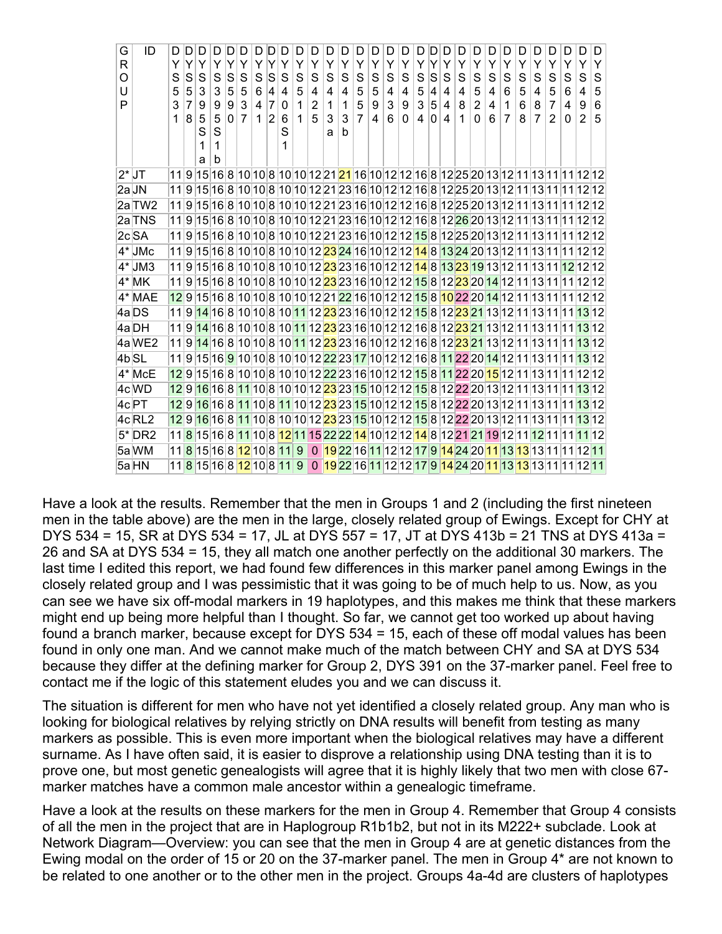| G<br>R<br>O<br>U<br>P | ID                 | D<br>Υ<br>S<br>5<br>3<br>1 | Y<br>S<br>5<br>8 | D<br>Υ<br>S<br>3<br>9<br>5<br>S<br>1 | Y<br>S<br>3<br>9<br>5<br>S<br>1 | lS<br>5<br>9<br>0 | S<br>5<br>3<br>$\overline{7}$ | Y<br>S<br>6<br>4<br>1 | S<br>4<br>$\overline{7}$<br>2 | Y<br>S<br>4<br>0<br>6<br>S<br>1                  | D<br>Y<br>S<br>5<br>$\mathbf{1}$<br>$\mathbf 1$ | D<br>Y<br>S<br>4<br>$\overline{c}$<br>5 | D<br>Υ<br>S<br>$\overline{4}$<br>$\mathbf{1}$<br>3<br>a | D<br>Y<br>S<br>4<br>1<br>3<br>b | D<br>Y<br>S<br>5<br>5<br>$\overline{7}$ | Y<br>S<br>5<br>9<br>4 | Y<br>S<br>4<br>3<br>6 | D<br>Y<br>S<br>$\overline{4}$<br>9<br>0 | Y<br>S<br>5<br>3<br>4 | S<br>4<br>5<br>0 | Y<br>S<br>4<br>4<br>4 | D<br>Y<br>S<br>4<br>8<br>$\mathbf 1$                                                                                        | D<br>Y<br>S<br>5<br>$\overline{2}$<br>0 | D<br>Y<br>S<br>4<br>4<br>6 | D<br>Y<br>S<br>6<br>1<br>7 | Y<br>S<br>5<br>6<br>8 | D<br>Y<br>S<br>$\overline{4}$<br>8<br>$\overline{7}$ | D<br>Y<br>S<br>5<br>$\overline{7}$<br>2 | D<br>Y<br>S<br>6<br>4<br>0                                                                                                              | D<br>Ÿ<br>S<br>4<br>9<br>$\overline{2}$ | D<br>Y<br>S<br>5<br>6<br>5 |
|-----------------------|--------------------|----------------------------|------------------|--------------------------------------|---------------------------------|-------------------|-------------------------------|-----------------------|-------------------------------|--------------------------------------------------|-------------------------------------------------|-----------------------------------------|---------------------------------------------------------|---------------------------------|-----------------------------------------|-----------------------|-----------------------|-----------------------------------------|-----------------------|------------------|-----------------------|-----------------------------------------------------------------------------------------------------------------------------|-----------------------------------------|----------------------------|----------------------------|-----------------------|------------------------------------------------------|-----------------------------------------|-----------------------------------------------------------------------------------------------------------------------------------------|-----------------------------------------|----------------------------|
|                       |                    |                            |                  | a                                    | b                               |                   |                               |                       |                               |                                                  |                                                 |                                         |                                                         |                                 |                                         |                       |                       |                                         |                       |                  |                       |                                                                                                                             |                                         |                            |                            |                       |                                                      |                                         |                                                                                                                                         |                                         |                            |
| $2^*$ JT              |                    | 11 9                       |                  |                                      |                                 |                   |                               |                       |                               |                                                  |                                                 |                                         |                                                         |                                 |                                         |                       |                       |                                         |                       |                  |                       |                                                                                                                             |                                         |                            |                            |                       |                                                      |                                         | 15 16 8 10 10 8 10 10 12 21  <mark>21</mark>  16 10 12 12 16 8 12 25 20 13 12 11 13 11 11 12 12                                         |                                         |                            |
| 2aJN                  |                    | 11                         | 9                |                                      |                                 |                   |                               |                       |                               |                                                  |                                                 |                                         |                                                         |                                 |                                         |                       |                       |                                         |                       |                  |                       |                                                                                                                             |                                         |                            |                            |                       |                                                      |                                         | 15 16 8 10 10 8 10 10 12 21 23 16 10 12 12 16 8 12 25 20 13 12 11 13 11 11 12 12                                                        |                                         |                            |
|                       | 2a TW2             | 11                         | 9                |                                      |                                 |                   |                               |                       |                               |                                                  |                                                 |                                         |                                                         |                                 |                                         |                       |                       |                                         |                       |                  |                       | 15 16 8 10 10 8 10 10 12 21 23 16 10 12 12 16 8 12 25 20 13 12 11 13 11                                                     |                                         |                            |                            |                       |                                                      |                                         | 111212                                                                                                                                  |                                         |                            |
|                       | 2a TNS             | 11                         | 9                |                                      |                                 |                   |                               |                       |                               |                                                  |                                                 |                                         |                                                         |                                 |                                         |                       |                       |                                         |                       |                  |                       |                                                                                                                             |                                         |                            |                            |                       |                                                      |                                         | 15 16 8 10 10 8 10 10 12 21 23 16 10 12 12 16 8 12 26 20 13 12 11 13 11 11 12 12                                                        |                                         |                            |
|                       | $2c$ <sub>SA</sub> | 11                         | 9                |                                      |                                 |                   |                               |                       |                               |                                                  |                                                 |                                         |                                                         |                                 |                                         |                       |                       |                                         |                       |                  |                       |                                                                                                                             |                                         |                            |                            |                       |                                                      |                                         | 15 16 8 10 10 8 10 10 12 21 23 16 10 12 12 15 8 12 25 20 13 12 11 13 11 11 12 12                                                        |                                         |                            |
|                       | $4^*$ JMc          | 11                         | 9                |                                      |                                 |                   |                               |                       |                               |                                                  |                                                 |                                         |                                                         |                                 |                                         |                       |                       |                                         |                       |                  |                       | 15 16 8 10 10 8 10 10 12 <mark>23</mark> 24 16 10 12 12 <mark>14</mark> 8 <mark>13 24</mark> 20 13 12 11 13 11              |                                         |                            |                            |                       |                                                      |                                         |                                                                                                                                         | 11 12 12                                |                            |
|                       | $4^*$ JM3          | 111                        | 9                |                                      |                                 |                   |                               |                       |                               |                                                  |                                                 |                                         |                                                         |                                 |                                         |                       |                       |                                         |                       |                  |                       |                                                                                                                             |                                         |                            |                            |                       |                                                      |                                         | 15 16 8 10 10 8 10 10 12 <mark>23</mark> 23 16 10 12 12 14 8 13 23 19 13 12 11 13 11 <mark>12</mark> 12 12                              |                                         |                            |
|                       | $4^*$ MK           | 11                         | 9                |                                      |                                 |                   |                               |                       |                               |                                                  |                                                 |                                         |                                                         |                                 |                                         |                       |                       |                                         |                       |                  |                       |                                                                                                                             |                                         |                            |                            |                       |                                                      |                                         | 15 16 8 10 10 8 10 10 12 <mark>23</mark> 23 16 10 12 12 15 8 12 <mark>23</mark> 20 14 12 11 13 11 11 12 12                              |                                         |                            |
|                       | 4* MAE             | 12                         | 9                |                                      |                                 |                   |                               |                       |                               |                                                  |                                                 |                                         |                                                         |                                 |                                         |                       |                       |                                         |                       |                  |                       | 15 16 8 10 10 8 10 10 12 21 22 16 10 12 12 15 8 10 22 20 14 12 11 13 11                                                     |                                         |                            |                            |                       |                                                      |                                         |                                                                                                                                         |                                         |                            |
|                       | 4a DS              | 11                         | 9                |                                      |                                 |                   |                               |                       |                               |                                                  |                                                 |                                         |                                                         |                                 |                                         |                       |                       |                                         |                       |                  |                       |                                                                                                                             |                                         |                            |                            |                       |                                                      |                                         | <mark>14</mark> 16 8 10 10 8 10 11 12 <mark>23</mark> 23 16 10 12 12 15 8 12 <mark>23</mark> 21 13 12 11 13 11 11 13 12                 |                                         |                            |
|                       | 4a DH              | 11 9                       |                  |                                      |                                 |                   |                               |                       |                               |                                                  |                                                 |                                         |                                                         |                                 |                                         |                       |                       |                                         |                       |                  |                       |                                                                                                                             |                                         |                            |                            |                       |                                                      |                                         | <mark>14</mark> 16 8 10 10 8 10 11 12 <mark>23</mark> 23 16 10 12 12 16 8 12 <mark>23</mark> 21 13 12 11 13 11 11 13 12                 |                                         |                            |
|                       | 4a WE2             | 11                         | 9                |                                      |                                 |                   |                               |                       |                               |                                                  |                                                 |                                         |                                                         |                                 |                                         |                       |                       |                                         |                       |                  |                       | 14 16 8 10 10 8 10 <mark>11</mark> 12 <mark>23</mark> 23 16 10 12 12 16 8 12 <mark>23</mark> 21 13 12 11 13 11              |                                         |                            |                            |                       |                                                      |                                         | 111312                                                                                                                                  |                                         |                            |
| 4b <sub>SL</sub>      |                    | 11                         | 9                |                                      |                                 |                   |                               |                       |                               |                                                  |                                                 |                                         |                                                         |                                 |                                         |                       |                       |                                         |                       |                  |                       |                                                                                                                             |                                         |                            |                            |                       |                                                      |                                         | 15 16 9 10 10 8 10 10 12 22 23 17 10 12 12 16 8 11 22 20 14 12 11 13 11 11 13 12                                                        |                                         |                            |
|                       | $4*$ McE           | 12 9                       |                  |                                      |                                 |                   |                               |                       |                               |                                                  |                                                 |                                         |                                                         |                                 |                                         |                       |                       |                                         |                       |                  |                       |                                                                                                                             |                                         |                            |                            |                       |                                                      |                                         | 15 16 8 10 10 8 10 10 12 22 23 16 10 12 12 15 8 11 22 20 <mark>15</mark> 12 11 13 11 11 12 12                                           |                                         |                            |
|                       | 4c WD              | 12                         | 9                |                                      |                                 |                   |                               |                       |                               |                                                  |                                                 |                                         |                                                         |                                 |                                         |                       |                       |                                         |                       |                  |                       | <mark>16</mark> 16 8 <mark>11</mark> 10 8 10 10 12 <mark>23</mark> 23 15 10 12 12 15 8 12 22 20 13 12 11 13 11              |                                         |                            |                            |                       |                                                      |                                         | 111312                                                                                                                                  |                                         |                            |
|                       | 4c PT              | 12                         | 9                |                                      |                                 |                   |                               |                       |                               |                                                  |                                                 |                                         |                                                         |                                 |                                         |                       |                       |                                         |                       |                  |                       | 16 16 8 11 10 8 11 10 12 23 23 15 10 12 12 15 8 12 22 20 13 12 11 13 11                                                     |                                         |                            |                            |                       |                                                      |                                         | 111312                                                                                                                                  |                                         |                            |
|                       | 4cRL2              | 12                         | 9                |                                      |                                 |                   |                               |                       |                               |                                                  |                                                 |                                         |                                                         |                                 |                                         |                       |                       |                                         |                       |                  |                       | <mark>16</mark> 16 8 <mark>11</mark> 10 8 10 10 12 23 23 15 10 12 12 15 8 12 22 20 13 12 11 13 11                           |                                         |                            |                            |                       |                                                      |                                         | 111312                                                                                                                                  |                                         |                            |
|                       | $5^*$ DR2          | 11                         | 8                |                                      |                                 |                   |                               |                       |                               |                                                  |                                                 |                                         |                                                         |                                 |                                         |                       |                       |                                         |                       |                  |                       | 15 16 8 <mark>11</mark> 10 8 <mark>12</mark> 11 15 22 22 <mark>14</mark> 10 12 12 14 8 12 21 21 19 12 11 <mark>12</mark> 11 |                                         |                            |                            |                       |                                                      |                                         |                                                                                                                                         | 11 11 12                                |                            |
|                       | 5a WM              | 11                         | 8                |                                      |                                 |                   |                               |                       |                               | 15 16 8 <mark>12</mark>  10 8 <mark>11  9</mark> |                                                 |                                         |                                                         |                                 |                                         |                       |                       |                                         |                       |                  |                       |                                                                                                                             |                                         |                            |                            |                       |                                                      |                                         | 0 19 22 16 11 12 12 17 9 14 24 20 11 13 13 13 11 11 12 11                                                                               |                                         |                            |
|                       | 5a HN              |                            |                  |                                      |                                 |                   |                               |                       |                               |                                                  |                                                 |                                         |                                                         |                                 |                                         |                       |                       |                                         |                       |                  |                       |                                                                                                                             |                                         |                            |                            |                       |                                                      |                                         | 11 8 15 16 8 <mark>12</mark> 10 8 <mark>11 9 0 19</mark> 22 16 <mark>11</mark> 12 12 17 9 14 24 20 <mark>11</mark> 13 13 13 11 11 12 11 |                                         |                            |

Have a look at the results. Remember that the men in Groups 1 and 2 (including the first nineteen men in the table above) are the men in the large, closely related group of Ewings. Except for CHY at DYS 534 = 15, SR at DYS 534 = 17, JL at DYS 557 = 17, JT at DYS 413b = 21 TNS at DYS 413a = 26 and SA at DYS 534 = 15, they all match one another perfectly on the additional 30 markers. The last time I edited this report, we had found few differences in this marker panel among Ewings in the closely related group and I was pessimistic that it was going to be of much help to us. Now, as you can see we have six off-modal markers in 19 haplotypes, and this makes me think that these markers might end up being more helpful than I thought. So far, we cannot get too worked up about having found a branch marker, because except for DYS 534 = 15, each of these off modal values has been found in only one man. And we cannot make much of the match between CHY and SA at DYS 534 because they differ at the defining marker for Group 2, DYS 391 on the 37-marker panel. Feel free to contact me if the logic of this statement eludes you and we can discuss it.

The situation is different for men who have not yet identified a closely related group. Any man who is looking for biological relatives by relying strictly on DNA results will benefit from testing as many markers as possible. This is even more important when the biological relatives may have a different surname. As I have often said, it is easier to disprove a relationship using DNA testing than it is to prove one, but most genetic genealogists will agree that it is highly likely that two men with close 67 marker matches have a common male ancestor within a genealogic timeframe.

Have a look at the results on these markers for the men in Group 4. Remember that Group 4 consists of all the men in the project that are in Haplogroup R1b1b2, but not in its M222+ subclade. Look at Network Diagram—Overview: you can see that the men in Group 4 are at genetic distances from the Ewing modal on the order of 15 or 20 on the 37-marker panel. The men in Group 4\* are not known to be related to one another or to the other men in the project. Groups 4a-4d are clusters of haplotypes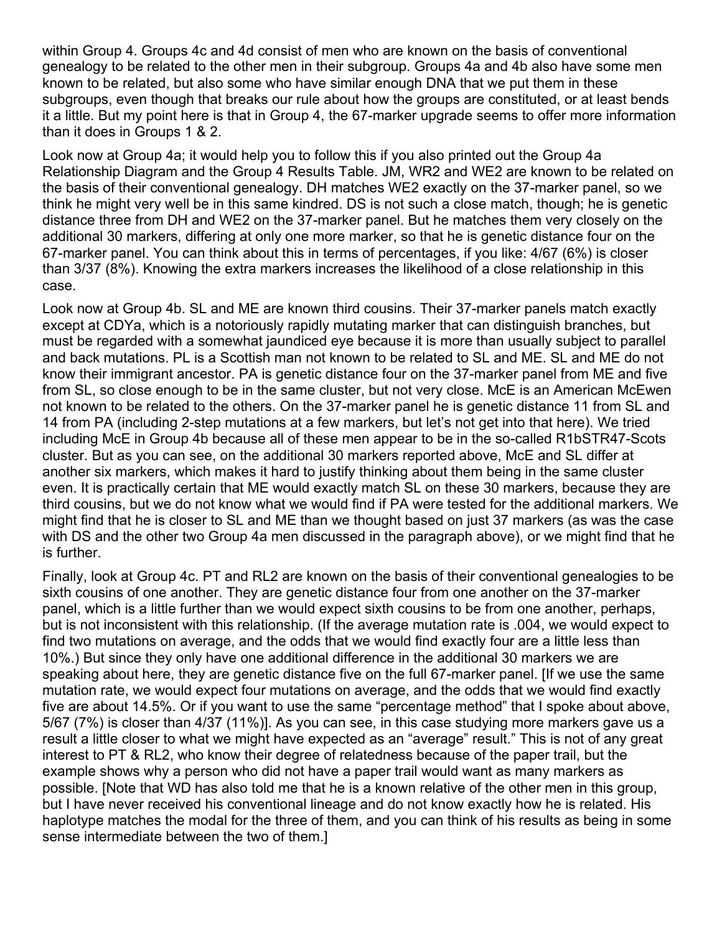within Group 4. Groups 4c and 4d consist of men who are known on the basis of conventional genealogy to be related to the other men in their subgroup. Groups 4a and 4b also have some men known to be related, but also some who have similar enough DNA that we put them in these subgroups, even though that breaks our rule about how the groups are constituted, or at least bends it a little. But my point here is that in Group 4, the 67-marker upgrade seems to offer more information than it does in Groups 1 & 2.

Look now at Group 4a; it would help you to follow this if you also printed out the Group 4a Relationship Diagram and the Group 4 Results Table. JM, WR2 and WE2 are known to be related on the basis of their conventional genealogy. DH matches WE2 exactly on the 37-marker panel, so we think he might very well be in this same kindred. DS is not such a close match, though; he is genetic distance three from DH and WE2 on the 37-marker panel. But he matches them very closely on the additional 30 markers, differing at only one more marker, so that he is genetic distance four on the 67-marker panel. You can think about this in terms of percentages, if you like: 4/67 (6%) is closer than 3/37 (8%). Knowing the extra markers increases the likelihood of a close relationship in this case.

Look now at Group 4b. SL and ME are known third cousins. Their 37-marker panels match exactly except at CDYa, which is a notoriously rapidly mutating marker that can distinguish branches, but must be regarded with a somewhat jaundiced eye because it is more than usually subject to parallel and back mutations. PL is a Scottish man not known to be related to SL and ME. SL and ME do not know their immigrant ancestor. PA is genetic distance four on the 37-marker panel from ME and five from SL, so close enough to be in the same cluster, but not very close. McE is an American McEwen not known to be related to the others. On the 37-marker panel he is genetic distance 11 from SL and 14 from PA (including 2-step mutations at a few markers, but let's not get into that here). We tried including McE in Group 4b because all of these men appear to be in the so-called R1bSTR47-Scots cluster. But as you can see, on the additional 30 markers reported above, McE and SL differ at another six markers, which makes it hard to justify thinking about them being in the same cluster even. It is practically certain that ME would exactly match SL on these 30 markers, because they are third cousins, but we do not know what we would find if PA were tested for the additional markers. We might find that he is closer to SL and ME than we thought based on just 37 markers (as was the case with DS and the other two Group 4a men discussed in the paragraph above), or we might find that he is further.

Finally, look at Group 4c. PT and RL2 are known on the basis of their conventional genealogies to be sixth cousins of one another. They are genetic distance four from one another on the 37-marker panel, which is a little further than we would expect sixth cousins to be from one another, perhaps, but is not inconsistent with this relationship. (If the average mutation rate is .004, we would expect to find two mutations on average, and the odds that we would find exactly four are a little less than 10%.) But since they only have one additional difference in the additional 30 markers we are speaking about here, they are genetic distance five on the full 67-marker panel. [If we use the same mutation rate, we would expect four mutations on average, and the odds that we would find exactly five are about 14.5%. Or if you want to use the same "percentage method" that I spoke about above, 5/67 (7%) is closer than 4/37 (11%)]. As you can see, in this case studying more markers gave us a result a little closer to what we might have expected as an "average" result." This is not of any great interest to PT & RL2, who know their degree of relatedness because of the paper trail, but the example shows why a person who did not have a paper trail would want as many markers as possible. [Note that WD has also told me that he is a known relative of the other men in this group, but I have never received his conventional lineage and do not know exactly how he is related. His haplotype matches the modal for the three of them, and you can think of his results as being in some sense intermediate between the two of them.]